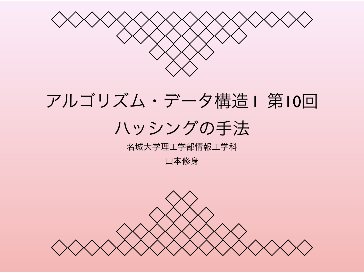

# アルゴリズム・データ構造 I 第10回 ハッシングの手法

#### 名城大学理工学部情報工学科

山本修身

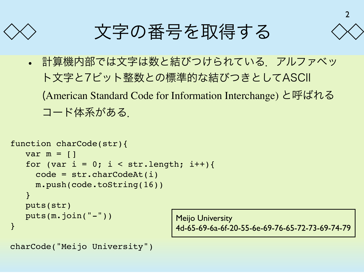

文字の番号を取得する

• 計算機内部では文字は数と結びつけられている.アルファベッ ト文字と7ビット整数との標準的な結びつきとしてASCII (American Standard Code for Information Interchange) と呼ばれる コード体系がある.

```
function charCode(str){
   var m = []for (var i = 0; i < str.length; i++) {
      code = str.charCodeAt(i)
      m.push(code.toString(16))
    }
    puts(str)
    puts(m.join("-"))
}
```
Meijo University 4d-65-69-6a-6f-20-55-6e-69-76-65-72-73-69-74-79

```
charCode("Meijo University")
```
2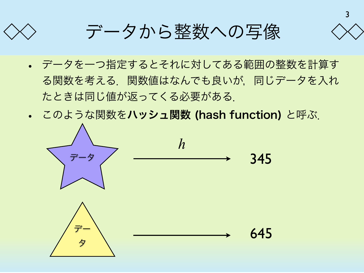

3

- データを一つ指定するとそれに対してある範囲の整数を計算す る関数を考える.関数値はなんでも良いが,同じデータを入れ たときは同じ値が返ってくる必要がある.
- このような関数をハッシュ関数 (hash function) と呼ぶ.

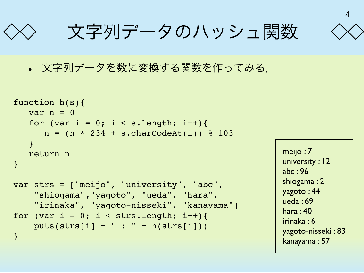文字列データのハッシュ関数



• 文字列データを数に変換する関数を作ってみる.

```
function h(s){
   var n = 0for (var i = 0; i < s.length; i++){
      n = (n * 234 + s.charCodeAt(i)) % 103
    }
    return n
}
var strs = ["meijo", "university", "abc",
     "shiogama","yagoto", "ueda", "hara",
     "irinaka", "yagoto-nisseki", "kanayama"]
for (var i = 0; i < strs.length; i++) {
    puts(stats[i] + " : " + h(strs[i]))}
```

```
meijo : 7
university : 12
abc : 96
shiogama : 2
yagoto : 44
ueda : 69
hara : 40
irinaka : 6
yagoto-nisseki : 83
kanayama : 57
```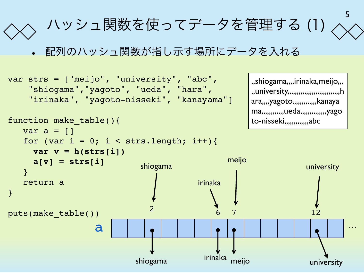

• 配列のハッシュ関数が指し示す場所にデータを入れる

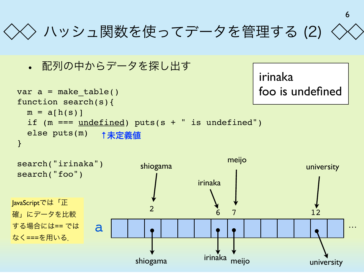## ハッシュ関数を使ってデータを管理する (2)

6

irinaka

• 配列の中からデータを探し出す

```
var a = make table()function search(s){
 m = a[h(s)] if (m === undefined) puts(s + " is undefined")
   else puts(m)
}
                                               foo is undefined
               ↑未定義値
```
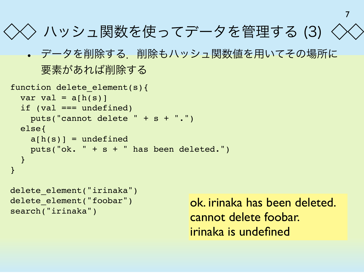```
ハッシュ関数を使ってデータを管理する (3)
```
• データを削除する. 削除もハッシュ関数値を用いてその場所に 要素があれば削除する

```
function delete element(s){
 var val = a[h(s)] if (val === undefined)
     puts("cannot delete " + s + ".")
   else{
    a[h(s)] = undefined puts("ok. " + s + " has been deleted.")
   }
}
```

```
delete element("irinaka")
delete element("foobar")
search("irinaka")
```
ok. irinaka has been deleted. cannot delete foobar. irinaka is undefined

7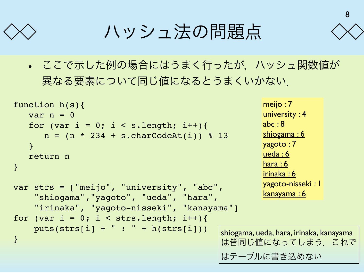ハッシュ法の問題点

• ここで示した例の場合にはうまく行ったが,ハッシュ関数値が 異なる要素について同じ値になるとうまくいかない.

```
function h(s){
   var n = 0for (var i = 0; i < s.length; i++){
      n = (n * 234 + s.charCodeAt(i)) % 13
    }
    return n
}
var strs = ["meijo", "university", "abc",
     "shiogama","yagoto", "ueda", "hara",
     "irinaka", "yagoto-nisseki", "kanayama"]
for (var i = 0; i < strs.length; i++) {
    puts(strs[i] + " : " + h(strs[i]))}
```
meijo : 7 university : 4 abc : 8 shiogama: 6 yagoto : 7 ueda : 6 hara : 6 irinaka : 6 yagoto-nisseki : 1 kanayama : 6

shiogama, ueda, hara, irinaka, kanayama は皆同じ値になってしまう. これで はテーブルに書き込めない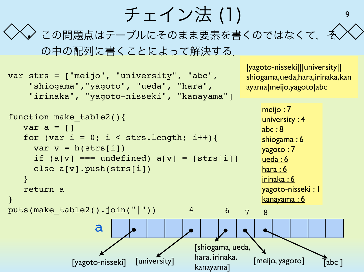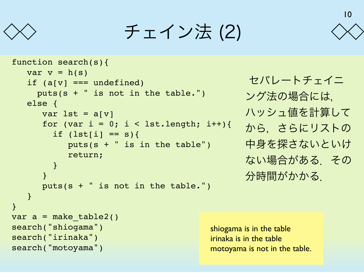

チェイン法 (2)

```
function search(s){
   var v = h(s)if (a[v] == undefined) puts(s + " is not in the table.")
    else {
      var lst = a[v]for (var i = 0; i < 1st.length; i++) {
        if (lst[i] == s) {
           puts(s + " is in the table") return;
 }
 }
       puts(s + " is not in the table.")
    }
}
var a = make table2()search("shiogama")
search("irinaka")
search("motoyama")
```
 セパレートチェイニ ング法の場合には, ハッシュ値を計算して から,さらにリストの 中身を探さないといけ ない場合がある.その 分時間がかかる.

10

shiogama is in the table irinaka is in the table motoyama is not in the table.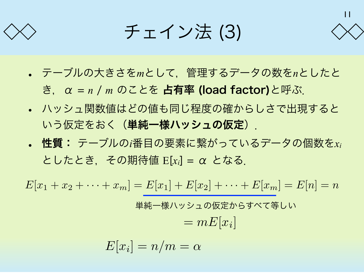

チェイン法 (3)

- 11
- テーブルの大きさを*m*として,管理するデータの数を*n*としたと

き,α = *n* / *m* のことを 占有率 (load factor)と呼ぶ.

- ハッシュ関数値はどの値も同じ程度の確からしさで出現すると いう仮定をおく(単純一様ハッシュの仮定)」
- 性質: テーブルの*i*番目の要素に繋がっているデータの個数を*xi* としたとき,その期待値 E[*xi*] = α となる.

 $E[x_1 + x_2 + \cdots + x_m] = E[x_1] + E[x_2] + \cdots + E[x_m] = E[n] = n$ 

単純一様ハッシュの仮定からすべて等しい  $= mE[x_i]$ 

$$
E[x_i] = n/m = \alpha
$$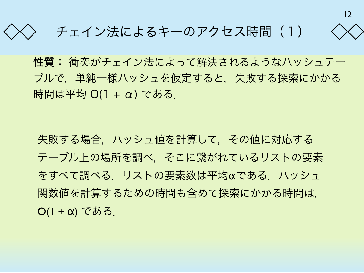

### チェイン法によるキーのアクセス時間(1)

性質: 衝突がチェイン法によって解決されるようなハッシュテー ブルで,単純一様ハッシュを仮定すると,失敗する探索にかかる 時間は平均 O(1 + α) である.

失敗する場合,ハッシュ値を計算して,その値に対応する テーブル上の場所を調べ,そこに繋がれているリストの要素 をすべて調べる.リストの要素数は平均αである.ハッシュ 関数値を計算するための時間も含めて探索にかかる時間は,  $O(1 + \alpha)$ である.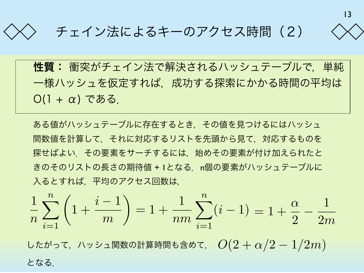

チェイン法によるキーのアクセス時間(2)

性質: 衝突がチェイン法で解決されるハッシュテーブルで,単純 一様ハッシュを仮定すれば,成功する探索にかかる時間の平均は  $O(1 + \alpha)$ である.

ある値がハッシュテーブルに存在するとき,その値を見つけるにはハッシュ 間数値を計算して,それに対応するリストを先頭から見て,対応するものを 探せばよい.その要素をサーチするには,始めその要素が付け加えられたと きのそのリストの長さの期待値 + 1となる. n個の要素がハッシュテーブルに 入るとすれば,平均のアクセス回数は,

$$
\frac{1}{n}\sum_{i=1}^{n} \left(1 + \frac{i-1}{m}\right) = 1 + \frac{1}{nm}\sum_{i=1}^{n} (i-1) = 1 + \frac{\alpha}{2} - \frac{1}{2m}
$$

したがって,ハッシュ関数の計算時間も含めて, *O*(2 + α*/*2 − 1*/*2*m*) となる.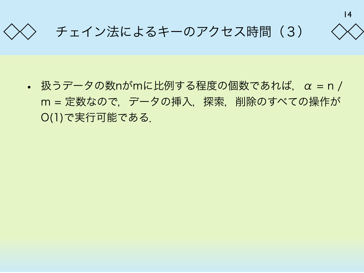



### チェイン法によるキーのアクセス時間 (3)

• 扱うデータの数nがmに比例する程度の個数であれば、α = n / m = 定数なので, データの挿入, 探索, 削除のすべての操作が O(1)で実行可能である.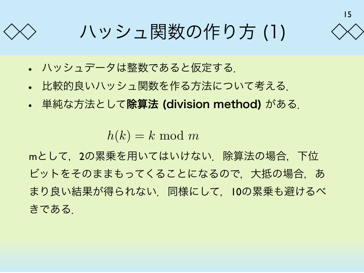15

ハッシュ関数の作り方 (1)

- ハッシュデータは整数であると仮定する.
- 比較的良いハッシュ関数を作る方法について考える.
- 単純な方法として除算法 (division method) がある.

 $h(k) = k \mod m$ 

mとして, 2の累乗を用いてはいけない. 除算法の場合, 下位 ビットをそのままもってくることになるので, 大抵の場合, あ まり良い結果が得られない. 同様にして, 10の累乗も避けるべ きである.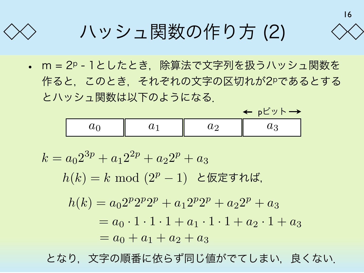16

 $\leftarrow$  ph<sup>s</sup> w  $\vdash \rightarrow$ 

ハッシュ関数の作り方 (2)

• m = 2p - 1としたとき, 除算法で文字列を扱うハッシュ関数を 作ると,このとき,それぞれの文字の区切れが2pであるとする とハッシュ関数は以下のようになる.

|  |             | ___ |
|--|-------------|-----|
|  | $\check{~}$ |     |

 $k = a_0 2^{3p} + a_1 2^{2p} + a_2 2^p + a_3$  $h(k) = k \mod (2^p - 1)$  と仮定すれば,  $h(k) = a_0 2^p 2^p 2^p + a_1 2^p 2^p + a_2 2^p + a_3$  $a_0 \cdot 1 \cdot 1 \cdot 1 + a_1 \cdot 1 \cdot 1 + a_2 \cdot 1 + a_3$  $= a_0 + a_1 + a_2 + a_3$ 

となり,文字の順番に依らず同じ値がでてしまい,良くない.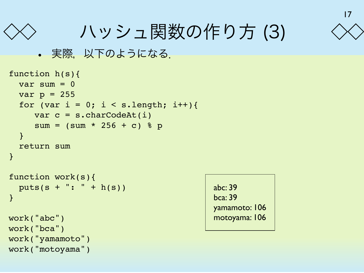

ハッシュ関数の作り方 (3)

```
• 実際, 以下のようになる.
```

```
function h(s){
  var sum = 0var p = 255for (var i = 0; i < s.length; i++){
     var c = s.charCodeAt(i)
     sum = (sum * 256 + c) % p
   }
   return sum
}
function work(s){
   puts(s + ": " + h(s))
}
work("abc")
work("bca")
work("yamamoto")
work("motoyama")
```

| abc: 39        |
|----------------|
| <b>bca: 39</b> |
| yamamoto: 106  |
| motoyama: 106  |
|                |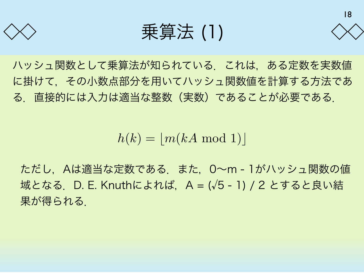

乗算法 (1)



ハッシュ関数として乗算法が知られている.これは,ある定数を実数値 に掛けて,その小数点部分を用いてハッシュ関数値を計算する方法であ る.直接的には入力は適当な整数(実数)であることが必要である.

 $h(k) = |m(kA \mod 1)|$ 

ただし,Aは適当な定数である.また,0~m - 1がハッシュ関数の値 域となる. D. E. Knuthによれば、A = (√5 - 1) / 2 とすると良い結 果が得られる.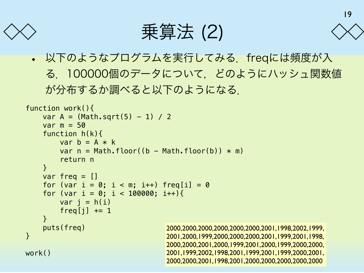

乗算法 (2)



19

• 以下のようなプログラムを実行してみる.freqには頻度が入 る.100000個のデータについて,どのようにハッシュ関数値 が分布するか調べると以下のようになる.

```
function work(){
    var A = (Math.sqrt(5) - 1) / 2var m = 50 function h(k){
         var b = A * kvar n = Math.floor((b - Math.floor(b))) * m return n
     }
    var freq = []for (var i = 0; i < m; i++) freq[i] = 0
    for (var i = 0; i < 100000; i++){
         var i = h(i)freq[j] += 1 }
     puts(freq)
}
work()
                                      2000,2000,2000,2000,2000,2000,2001,1998,2002,1999,
                                      2001,2000,1999,2000,2000,2000,2001,1999,2001,1998,
                                      2000,2000,2001,2000,1999,2001,2000,1999,2000,2000,
                                      2001,1999,2002,1998,2001,1999,2001,1999,2000,2001,
                                      2000,2000,2001,1998,2001,2000,2000,2000,2000,2000
```